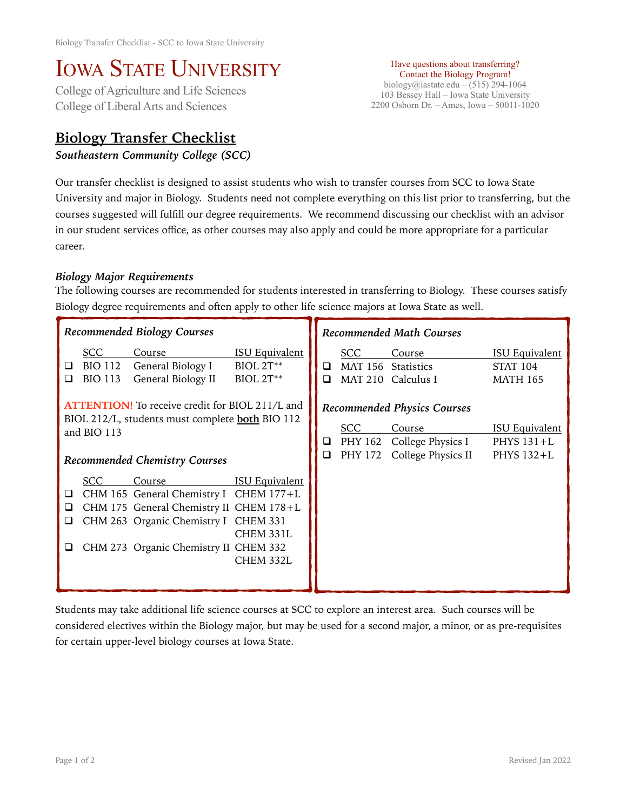## IOWA STATE UNIVERSITY<br>College of Agriculture and Life Sciences

College of Liberal Arts and Sciences

## **Biology Transfer Checklist**

*Southeastern Community College (SCC)* 

Have questions about transferring? Contact the Biology Program! biology@iastate.edu – (515) 294-1064 103 Bessey Hall – Iowa State University 2200 Osborn Dr. – Ames, Iowa – 50011-1020

Our transfer checklist is designed to assist students who wish to transfer courses from SCC to Iowa State University and major in Biology. Students need not complete everything on this list prior to transferring, but the courses suggested will fulfill our degree requirements. We recommend discussing our checklist with an advisor in our student services office, as other courses may also apply and could be more appropriate for a particular career.

## *Biology Major Requirements*

The following courses are recommended for students interested in transferring to Biology. These courses satisfy Biology degree requirements and often apply to other life science majors at Iowa State as well.

| Recommended Biology Courses                                                                                                                                             |                                                |                                                                                                                                                                              |                                                        | <b>Recommended Math Courses</b> |                                                                                                 |                                                     |                                                             |
|-------------------------------------------------------------------------------------------------------------------------------------------------------------------------|------------------------------------------------|------------------------------------------------------------------------------------------------------------------------------------------------------------------------------|--------------------------------------------------------|---------------------------------|-------------------------------------------------------------------------------------------------|-----------------------------------------------------|-------------------------------------------------------------|
| ⊔<br>◻                                                                                                                                                                  | <b>SCC</b><br><b>BIO 112</b><br><b>BIO 113</b> | Course<br>General Biology I<br>General Biology II                                                                                                                            | <b>ISU Equivalent</b><br><b>BIOL 2T**</b><br>BIOL 2T** | ❏<br>□                          | <b>SCC</b><br>MAT 156<br><b>MAT 210</b>                                                         | Course<br>Statistics<br>Calculus I                  | <b>ISU Equivalent</b><br><b>STAT 104</b><br><b>MATH 165</b> |
| <b>ATTENTION!</b> To receive credit for BIOL 211/L and<br>BIOL 212/L, students must complete <b>both</b> BIO 112<br>and BIO 113<br><b>Recommended Chemistry Courses</b> |                                                |                                                                                                                                                                              | Q.<br>$\Box$                                           | <b>SCC</b><br>PHY 172           | <b>Recommended Physics Courses</b><br>Course<br>PHY 162 College Physics I<br>College Physics II | <b>ISU Equivalent</b><br>PHYS $131+L$<br>PHYS 132+L |                                                             |
| □<br>□<br>⊔                                                                                                                                                             | SCC                                            | Course<br>CHM 165 General Chemistry I CHEM 177+L<br>CHM 175 General Chemistry II CHEM 178+L<br>CHM 263 Organic Chemistry I CHEM 331<br>CHM 273 Organic Chemistry II CHEM 332 | <b>ISU Equivalent</b><br>CHEM 331L<br>CHEM 332L        |                                 |                                                                                                 |                                                     |                                                             |

Students may take additional life science courses at SCC to explore an interest area. Such courses will be considered electives within the Biology major, but may be used for a second major, a minor, or as pre-requisites for certain upper-level biology courses at Iowa State.